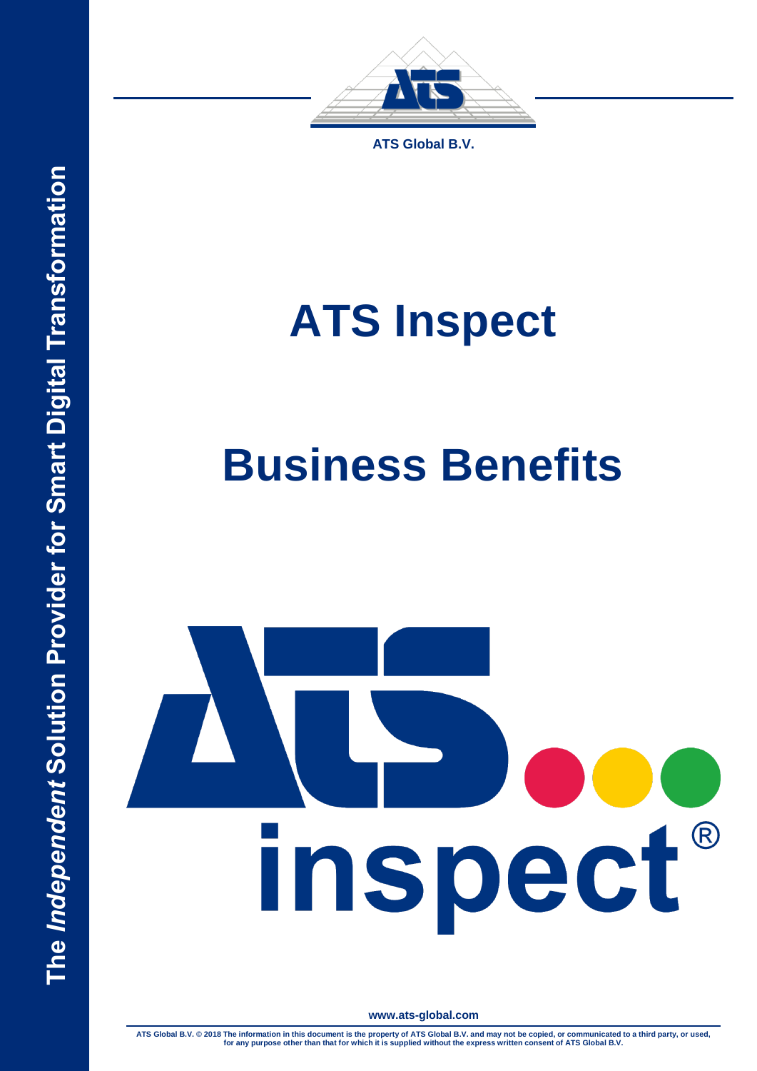

**ATS Global B.V.**

# **ATS Inspect**

# **Business Benefits**

# inspect®

**www.ats-global.com**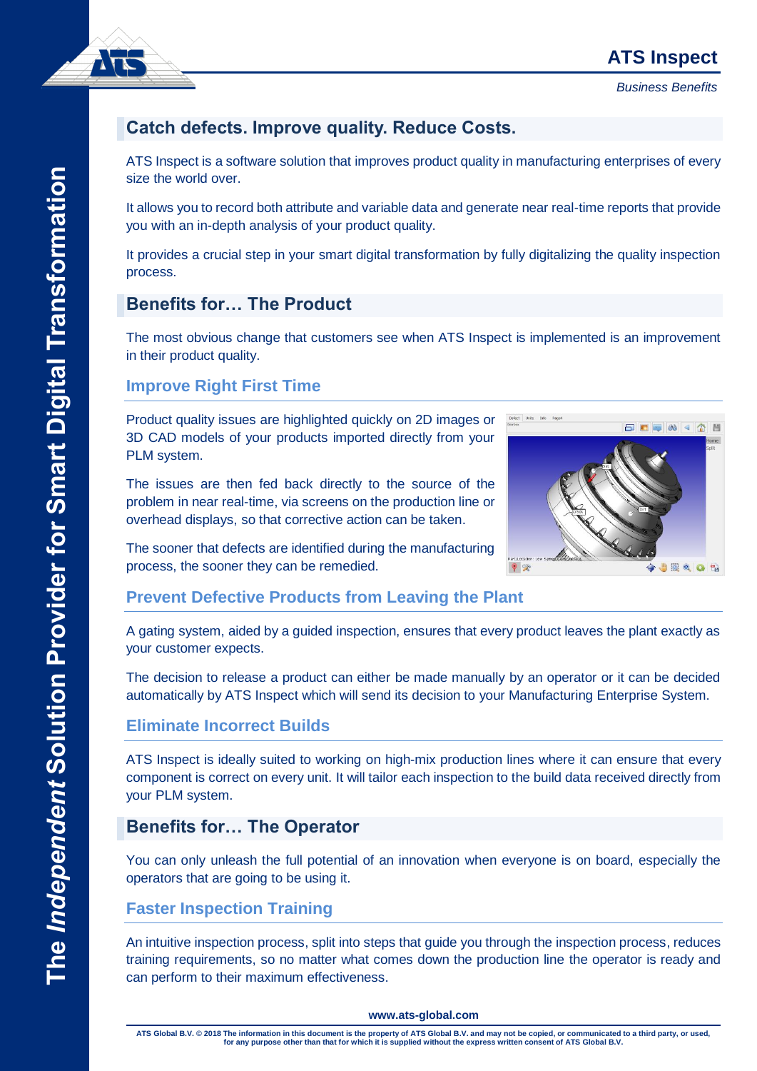*Business Benefits*



# **Catch defects. Improve quality. Reduce Costs.**

ATS Inspect is a software solution that improves product quality in manufacturing enterprises of every size the world over.

It allows you to record both attribute and variable data and generate near real-time reports that provide you with an in-depth analysis of your product quality.

It provides a crucial step in your smart digital transformation by fully digitalizing the quality inspection process.

# **Benefits for… The Product**

The most obvious change that customers see when ATS Inspect is implemented is an improvement in their product quality.

#### **Improve Right First Time**

Product quality issues are highlighted quickly on 2D images or 3D CAD models of your products imported directly from your PLM system.

The issues are then fed back directly to the source of the problem in near real-time, via screens on the production line or overhead displays, so that corrective action can be taken.



The sooner that defects are identified during the manufacturing process, the sooner they can be remedied.

## **Prevent Defective Products from Leaving the Plant**

A gating system, aided by a guided inspection, ensures that every product leaves the plant exactly as your customer expects.

The decision to release a product can either be made manually by an operator or it can be decided automatically by ATS Inspect which will send its decision to your Manufacturing Enterprise System.

## **Eliminate Incorrect Builds**

ATS Inspect is ideally suited to working on high-mix production lines where it can ensure that every component is correct on every unit. It will tailor each inspection to the build data received directly from your PLM system.

# **Benefits for… The Operator**

You can only unleash the full potential of an innovation when everyone is on board, especially the operators that are going to be using it.

# **Faster Inspection Training**

An intuitive inspection process, split into steps that guide you through the inspection process, reduces training requirements, so no matter what comes down the production line the operator is ready and can perform to their maximum effectiveness.